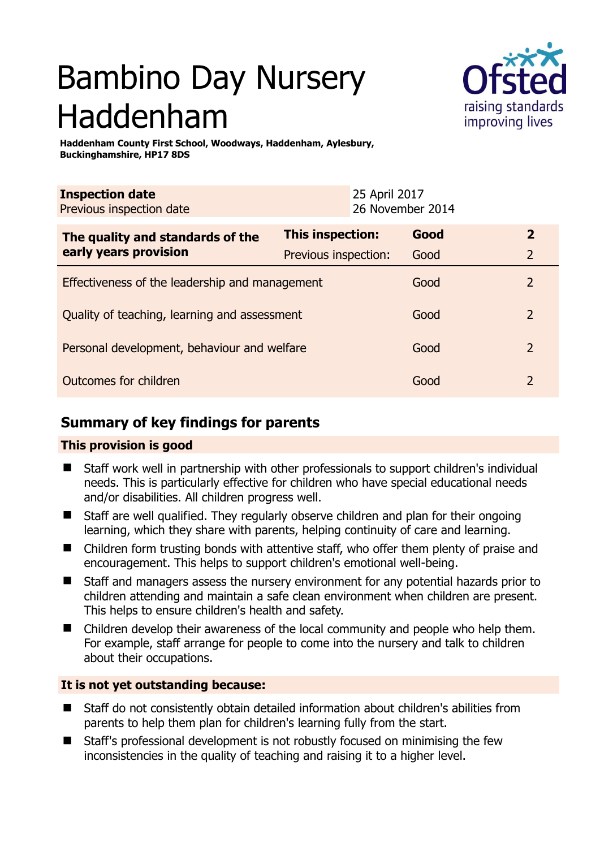# Bambino Day Nursery Haddenham



**Haddenham County First School, Woodways, Haddenham, Aylesbury, Buckinghamshire, HP17 8DS** 

| <b>Inspection date</b><br>Previous inspection date        |                         | 25 April 2017<br>26 November 2014 |      |                |
|-----------------------------------------------------------|-------------------------|-----------------------------------|------|----------------|
| The quality and standards of the<br>early years provision | <b>This inspection:</b> |                                   | Good | $\mathbf{2}$   |
|                                                           | Previous inspection:    |                                   | Good | 2              |
| Effectiveness of the leadership and management            |                         |                                   | Good | 2              |
| Quality of teaching, learning and assessment              |                         |                                   | Good | $\overline{2}$ |
| Personal development, behaviour and welfare               |                         |                                   | Good | $\mathcal{L}$  |
| Outcomes for children                                     |                         |                                   | Good | $\mathcal{P}$  |

# **Summary of key findings for parents**

## **This provision is good**

- Staff work well in partnership with other professionals to support children's individual needs. This is particularly effective for children who have special educational needs and/or disabilities. All children progress well.
- Staff are well qualified. They regularly observe children and plan for their ongoing learning, which they share with parents, helping continuity of care and learning.
- Children form trusting bonds with attentive staff, who offer them plenty of praise and encouragement. This helps to support children's emotional well-being.
- Staff and managers assess the nursery environment for any potential hazards prior to children attending and maintain a safe clean environment when children are present. This helps to ensure children's health and safety.
- Children develop their awareness of the local community and people who help them. For example, staff arrange for people to come into the nursery and talk to children about their occupations.

## **It is not yet outstanding because:**

- Staff do not consistently obtain detailed information about children's abilities from parents to help them plan for children's learning fully from the start.
- Staff's professional development is not robustly focused on minimising the few inconsistencies in the quality of teaching and raising it to a higher level.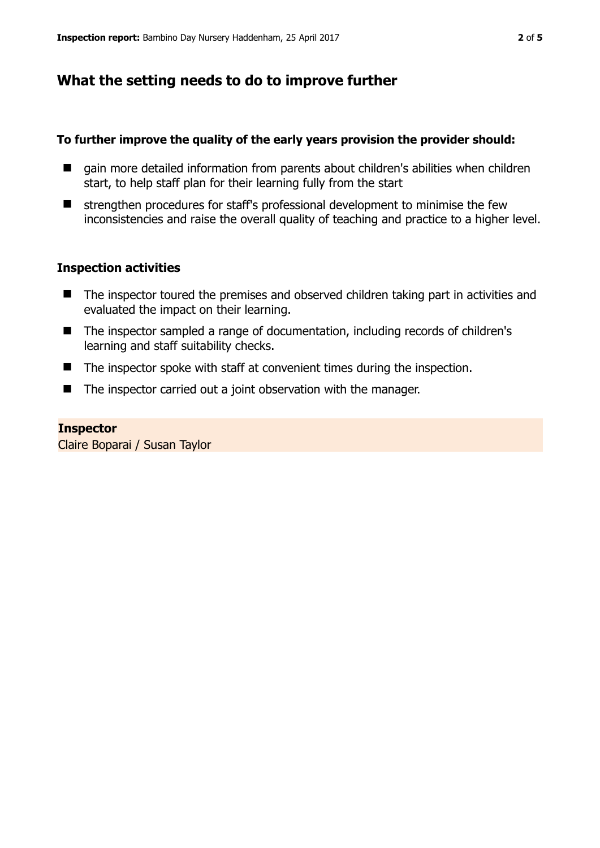## **What the setting needs to do to improve further**

#### **To further improve the quality of the early years provision the provider should:**

- gain more detailed information from parents about children's abilities when children start, to help staff plan for their learning fully from the start
- $\blacksquare$  strengthen procedures for staff's professional development to minimise the few inconsistencies and raise the overall quality of teaching and practice to a higher level.

#### **Inspection activities**

- The inspector toured the premises and observed children taking part in activities and evaluated the impact on their learning.
- The inspector sampled a range of documentation, including records of children's learning and staff suitability checks.
- The inspector spoke with staff at convenient times during the inspection.
- The inspector carried out a joint observation with the manager.

#### **Inspector**

Claire Boparai / Susan Taylor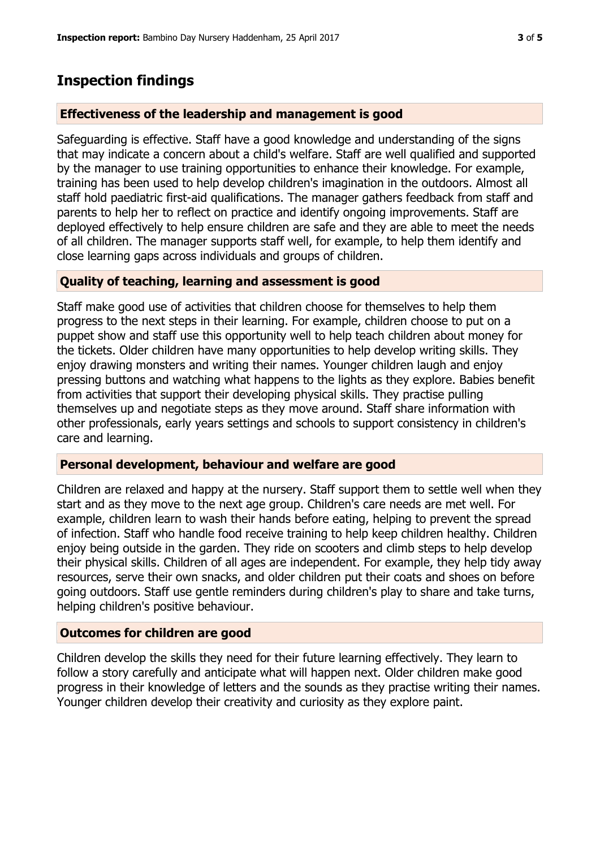## **Inspection findings**

#### **Effectiveness of the leadership and management is good**

Safeguarding is effective. Staff have a good knowledge and understanding of the signs that may indicate a concern about a child's welfare. Staff are well qualified and supported by the manager to use training opportunities to enhance their knowledge. For example, training has been used to help develop children's imagination in the outdoors. Almost all staff hold paediatric first-aid qualifications. The manager gathers feedback from staff and parents to help her to reflect on practice and identify ongoing improvements. Staff are deployed effectively to help ensure children are safe and they are able to meet the needs of all children. The manager supports staff well, for example, to help them identify and close learning gaps across individuals and groups of children.

#### **Quality of teaching, learning and assessment is good**

Staff make good use of activities that children choose for themselves to help them progress to the next steps in their learning. For example, children choose to put on a puppet show and staff use this opportunity well to help teach children about money for the tickets. Older children have many opportunities to help develop writing skills. They enjoy drawing monsters and writing their names. Younger children laugh and enjoy pressing buttons and watching what happens to the lights as they explore. Babies benefit from activities that support their developing physical skills. They practise pulling themselves up and negotiate steps as they move around. Staff share information with other professionals, early years settings and schools to support consistency in children's care and learning.

#### **Personal development, behaviour and welfare are good**

Children are relaxed and happy at the nursery. Staff support them to settle well when they start and as they move to the next age group. Children's care needs are met well. For example, children learn to wash their hands before eating, helping to prevent the spread of infection. Staff who handle food receive training to help keep children healthy. Children enjoy being outside in the garden. They ride on scooters and climb steps to help develop their physical skills. Children of all ages are independent. For example, they help tidy away resources, serve their own snacks, and older children put their coats and shoes on before going outdoors. Staff use gentle reminders during children's play to share and take turns, helping children's positive behaviour.

#### **Outcomes for children are good**

Children develop the skills they need for their future learning effectively. They learn to follow a story carefully and anticipate what will happen next. Older children make good progress in their knowledge of letters and the sounds as they practise writing their names. Younger children develop their creativity and curiosity as they explore paint.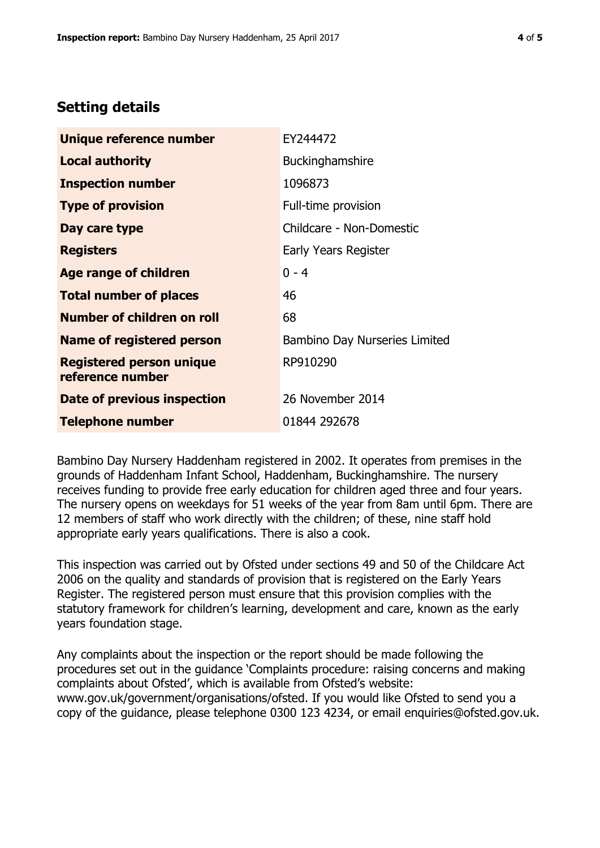## **Setting details**

| Unique reference number                             | EY244472                             |  |  |
|-----------------------------------------------------|--------------------------------------|--|--|
| <b>Local authority</b>                              | <b>Buckinghamshire</b>               |  |  |
| <b>Inspection number</b>                            | 1096873                              |  |  |
| <b>Type of provision</b>                            | Full-time provision                  |  |  |
| Day care type                                       | Childcare - Non-Domestic             |  |  |
| <b>Registers</b>                                    | Early Years Register                 |  |  |
| Age range of children                               | $0 - 4$                              |  |  |
| <b>Total number of places</b>                       | 46                                   |  |  |
| <b>Number of children on roll</b>                   | 68                                   |  |  |
| Name of registered person                           | <b>Bambino Day Nurseries Limited</b> |  |  |
| <b>Registered person unique</b><br>reference number | RP910290                             |  |  |
| Date of previous inspection                         | 26 November 2014                     |  |  |
| <b>Telephone number</b>                             | 01844 292678                         |  |  |

Bambino Day Nursery Haddenham registered in 2002. It operates from premises in the grounds of Haddenham Infant School, Haddenham, Buckinghamshire. The nursery receives funding to provide free early education for children aged three and four years. The nursery opens on weekdays for 51 weeks of the year from 8am until 6pm. There are 12 members of staff who work directly with the children; of these, nine staff hold appropriate early years qualifications. There is also a cook.

This inspection was carried out by Ofsted under sections 49 and 50 of the Childcare Act 2006 on the quality and standards of provision that is registered on the Early Years Register. The registered person must ensure that this provision complies with the statutory framework for children's learning, development and care, known as the early years foundation stage.

Any complaints about the inspection or the report should be made following the procedures set out in the guidance 'Complaints procedure: raising concerns and making complaints about Ofsted', which is available from Ofsted's website: www.gov.uk/government/organisations/ofsted. If you would like Ofsted to send you a copy of the guidance, please telephone 0300 123 4234, or email enquiries@ofsted.gov.uk.